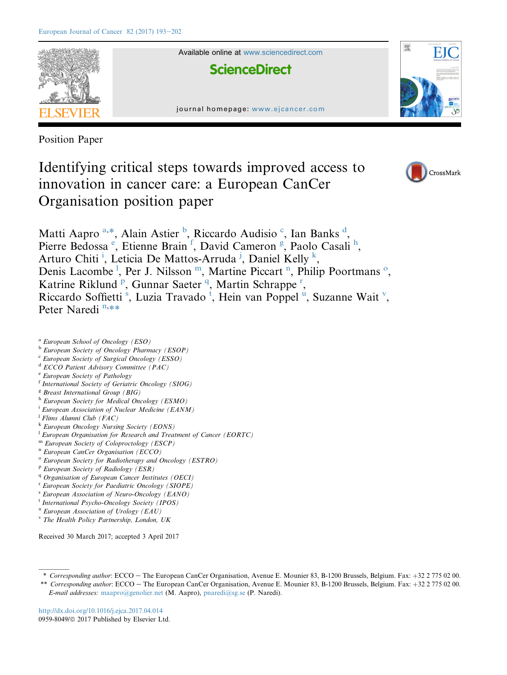

Position Paper

Identifying critical steps towards improved access to innovation in cancer care: a European CanCer Organisation position paper



Matti Aapro <sup>a,\*</sup>, Alain Astier <sup>b</sup>, Riccardo Audisio <sup>c</sup>, Ian Banks <sup>d</sup>, Pierre Bedossa<sup>e</sup>, Etienne Brain<sup>f</sup>, David Cameron<sup>g</sup>, Paolo Casali<sup>h</sup>, Arturo Chiti<sup>i</sup>, Leticia De Mattos-Arruda<sup>j</sup>, Daniel Kelly<sup>k</sup>, Denis Lacombe<sup>1</sup>, Per J. Nilsson<sup>m</sup>, Martine Piccart<sup>n</sup>, Philip Poortmans<sup>o</sup>, Katrine Riklund<sup>'p</sup>, Gunnar Saeter<sup>q</sup>, Martin Schrappe<sup>r</sup>, Riccardo Soffietti<sup>s</sup>, Luzia Travado<sup>t</sup>, Hein van Poppel<sup>u</sup>, Suzanne Wait<sup>v</sup>, Peter Naredi<sup>n,\*\*</sup>

- <sup>a</sup> European School of Oncology (ESO)
- <sup>b</sup> European Society of Oncology Pharmacy (ESOP)
- $c$  European Society of Surgical Oncology (ESSO)
- <sup>d</sup> ECCO Patient Advisory Committee (PAC)
- <sup>e</sup> European Society of Pathology
- <sup>f</sup> International Society of Geriatric Oncology (SIOG)
- $g$ <sup>g</sup> Breast International Group (BIG)
- h European Society for Medical Oncology (ESMO)
- <sup>i</sup> European Association of Nuclear Medicine (EANM)
- <sup>j</sup> Flims Alumni Club (FAC)
- $k$  European Oncology Nursing Society (EONS)
- $^{1}$  European Organisation for Research and Treatment of Cancer (EORTC)
- <sup>m</sup> European Society of Coloproctology (ESCP)
- <sup>n</sup> European CanCer Organisation (ECCO)
- <sup>o</sup> European Society for Radiotherapy and Oncology (ESTRO)
- <sup>p</sup> European Society of Radiology (ESR)
- $q$  Organisation of European Cancer Institutes (OECI)
- European Society for Paediatric Oncology (SIOPE)
- <sup>s</sup> European Association of Neuro-Oncology (EANO)
- <sup>t</sup> International Psycho-Oncology Society (IPOS)
- $u$  European Association of Urology (EAU)
- <sup>v</sup> The Health Policy Partnership, London, UK

Received 30 March 2017; accepted 3 April 2017

<sup>\*</sup> Corresponding author: ECCO - The European CanCer Organisation, Avenue E. Mounier 83, B-1200 Brussels, Belgium. Fax: +32 2 775 02 00.

<sup>\*\*</sup> Corresponding author: ECCO - The European CanCer Organisation, Avenue E. Mounier 83, B-1200 Brussels, Belgium. Fax: +32 2 775 02 00. E-mail addresses: [maapro@genolier.net](mailto:maapro@genolier.net) (M. Aapro), [pnaredi@sg.se](mailto:pnaredi@sg.se) (P. Naredi).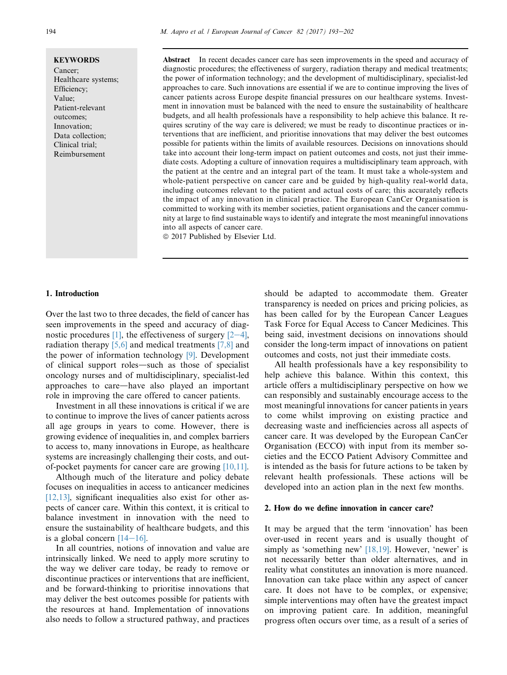#### **KEYWORDS**

Cancer; Healthcare systems; Efficiency; Value; Patient-relevant outcomes; Innovation; Data collection: Clinical trial; Reimbursement

Abstract In recent decades cancer care has seen improvements in the speed and accuracy of diagnostic procedures; the effectiveness of surgery, radiation therapy and medical treatments; the power of information technology; and the development of multidisciplinary, specialist-led approaches to care. Such innovations are essential if we are to continue improving the lives of cancer patients across Europe despite financial pressures on our healthcare systems. Investment in innovation must be balanced with the need to ensure the sustainability of healthcare budgets, and all health professionals have a responsibility to help achieve this balance. It requires scrutiny of the way care is delivered; we must be ready to discontinue practices or interventions that are inefficient, and prioritise innovations that may deliver the best outcomes possible for patients within the limits of available resources. Decisions on innovations should take into account their long-term impact on patient outcomes and costs, not just their immediate costs. Adopting a culture of innovation requires a multidisciplinary team approach, with the patient at the centre and an integral part of the team. It must take a whole-system and whole-patient perspective on cancer care and be guided by high-quality real-world data, including outcomes relevant to the patient and actual costs of care; this accurately reflects the impact of any innovation in clinical practice. The European CanCer Organisation is committed to working with its member societies, patient organisations and the cancer community at large to find sustainable ways to identify and integrate the most meaningful innovations into all aspects of cancer care.

 $© 2017 Published by Elsevier Ltd.$ 

### 1. Introduction

Over the last two to three decades, the field of cancer has seen improvements in the speed and accuracy of diag-nostic procedures [\[1\],](#page-8-0) the effectiveness of surgery  $[2-4]$  $[2-4]$  $[2-4]$ , radiation therapy [\[5,6\]](#page-8-0) and medical treatments [\[7,8\]](#page-8-0) and the power of information technology [\[9\]](#page-8-0). Development of clinical support roles—such as those of specialist oncology nurses and of multidisciplinary, specialist-led approaches to care—have also played an important role in improving the care offered to cancer patients.

Investment in all these innovations is critical if we are to continue to improve the lives of cancer patients across all age groups in years to come. However, there is growing evidence of inequalities in, and complex barriers to access to, many innovations in Europe, as healthcare systems are increasingly challenging their costs, and outof-pocket payments for cancer care are growing [\[10,11\].](#page-8-0)

Although much of the literature and policy debate focuses on inequalities in access to anticancer medicines [\[12,13\],](#page-8-0) significant inequalities also exist for other aspects of cancer care. Within this context, it is critical to balance investment in innovation with the need to ensure the sustainability of healthcare budgets, and this is a global concern  $[14-16]$  $[14-16]$  $[14-16]$ .

In all countries, notions of innovation and value are intrinsically linked. We need to apply more scrutiny to the way we deliver care today, be ready to remove or discontinue practices or interventions that are inefficient, and be forward-thinking to prioritise innovations that may deliver the best outcomes possible for patients with the resources at hand. Implementation of innovations also needs to follow a structured pathway, and practices should be adapted to accommodate them. Greater transparency is needed on prices and pricing policies, as has been called for by the European Cancer Leagues Task Force for Equal Access to Cancer Medicines. This being said, investment decisions on innovations should consider the long-term impact of innovations on patient outcomes and costs, not just their immediate costs.

All health professionals have a key responsibility to help achieve this balance. Within this context, this article offers a multidisciplinary perspective on how we can responsibly and sustainably encourage access to the most meaningful innovations for cancer patients in years to come whilst improving on existing practice and decreasing waste and inefficiencies across all aspects of cancer care. It was developed by the European CanCer Organisation (ECCO) with input from its member societies and the ECCO Patient Advisory Committee and is intended as the basis for future actions to be taken by relevant health professionals. These actions will be developed into an action plan in the next few months.

#### 2. How do we define innovation in cancer care?

It may be argued that the term 'innovation' has been over-used in recent years and is usually thought of simply as 'something new' [\[18,19\]](#page-8-0). However, 'newer' is not necessarily better than older alternatives, and in reality what constitutes an innovation is more nuanced. Innovation can take place within any aspect of cancer care. It does not have to be complex, or expensive; simple interventions may often have the greatest impact on improving patient care. In addition, meaningful progress often occurs over time, as a result of a series of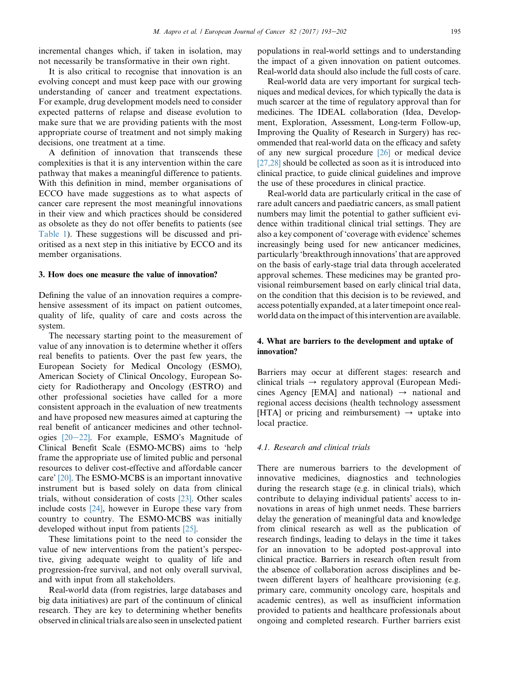incremental changes which, if taken in isolation, may not necessarily be transformative in their own right.

It is also critical to recognise that innovation is an evolving concept and must keep pace with our growing understanding of cancer and treatment expectations. For example, drug development models need to consider expected patterns of relapse and disease evolution to make sure that we are providing patients with the most appropriate course of treatment and not simply making decisions, one treatment at a time.

A definition of innovation that transcends these complexities is that it is any intervention within the care pathway that makes a meaningful difference to patients. With this definition in mind, member organisations of ECCO have made suggestions as to what aspects of cancer care represent the most meaningful innovations in their view and which practices should be considered as obsolete as they do not offer benefits to patients (see [Table 1\)](#page-3-0). These suggestions will be discussed and prioritised as a next step in this initiative by ECCO and its member organisations.

### 3. How does one measure the value of innovation?

Defining the value of an innovation requires a comprehensive assessment of its impact on patient outcomes, quality of life, quality of care and costs across the system.

The necessary starting point to the measurement of value of any innovation is to determine whether it offers real benefits to patients. Over the past few years, the European Society for Medical Oncology (ESMO), American Society of Clinical Oncology, European Society for Radiotherapy and Oncology (ESTRO) and other professional societies have called for a more consistent approach in the evaluation of new treatments and have proposed new measures aimed at capturing the real benefit of anticancer medicines and other technologies  $[20-22]$  $[20-22]$ . For example, ESMO's Magnitude of Clinical Benefit Scale (ESMO-MCBS) aims to 'help frame the appropriate use of limited public and personal resources to deliver cost-effective and affordable cancer care' [\[20\].](#page-8-0) The ESMO-MCBS is an important innovative instrument but is based solely on data from clinical trials, without consideration of costs [\[23\]](#page-8-0). Other scales include costs [\[24\],](#page-8-0) however in Europe these vary from country to country. The ESMO-MCBS was initially developed without input from patients [\[25\]](#page-8-0).

These limitations point to the need to consider the value of new interventions from the patient's perspective, giving adequate weight to quality of life and progression-free survival, and not only overall survival, and with input from all stakeholders.

Real-world data (from registries, large databases and big data initiatives) are part of the continuum of clinical research. They are key to determining whether benefits observed in clinical trials are also seen in unselected patient populations in real-world settings and to understanding the impact of a given innovation on patient outcomes. Real-world data should also include the full costs of care.

Real-world data are very important for surgical techniques and medical devices, for which typically the data is much scarcer at the time of regulatory approval than for medicines. The IDEAL collaboration (Idea, Development, Exploration, Assessment, Long-term Follow-up, Improving the Quality of Research in Surgery) has recommended that real-world data on the efficacy and safety of any new surgical procedure [\[26\]](#page-8-0) or medical device [\[27,28\]](#page-8-0) should be collected as soon as it is introduced into clinical practice, to guide clinical guidelines and improve the use of these procedures in clinical practice.

Real-world data are particularly critical in the case of rare adult cancers and paediatric cancers, as small patient numbers may limit the potential to gather sufficient evidence within traditional clinical trial settings. They are also a key component of 'coverage with evidence' schemes increasingly being used for new anticancer medicines, particularly 'breakthrough innovations' that are approved on the basis of early-stage trial data through accelerated approval schemes. These medicines may be granted provisional reimbursement based on early clinical trial data, on the condition that this decision is to be reviewed, and access potentially expanded, at a later timepoint once realworld data on the impact of this intervention are available.

# 4. What are barriers to the development and uptake of innovation?

Barriers may occur at different stages: research and clinical trials  $\rightarrow$  regulatory approval (European Medicines Agency [EMA] and national)  $\rightarrow$  national and regional access decisions (health technology assessment [HTA] or pricing and reimbursement)  $\rightarrow$  uptake into local practice.

### 4.1. Research and clinical trials

There are numerous barriers to the development of innovative medicines, diagnostics and technologies during the research stage (e.g. in clinical trials), which contribute to delaying individual patients' access to innovations in areas of high unmet needs. These barriers delay the generation of meaningful data and knowledge from clinical research as well as the publication of research findings, leading to delays in the time it takes for an innovation to be adopted post-approval into clinical practice. Barriers in research often result from the absence of collaboration across disciplines and between different layers of healthcare provisioning (e.g. primary care, community oncology care, hospitals and academic centres), as well as insufficient information provided to patients and healthcare professionals about ongoing and completed research. Further barriers exist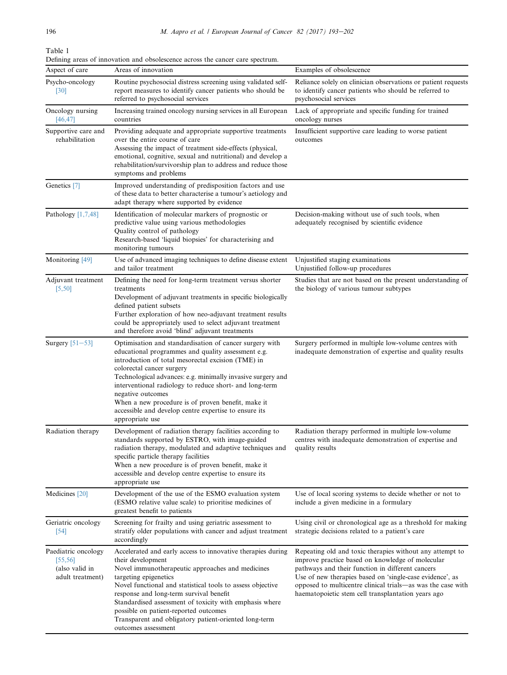<span id="page-3-0"></span>Table 1

|  |  |  | Defining areas of innovation and obsolescence across the cancer care spectrum. |
|--|--|--|--------------------------------------------------------------------------------|
|  |  |  |                                                                                |

| Aspect of care                                                        | Areas of innovation                                                                                                                                                                                                                                                                                                                                                                                                                                                               | Examples of obsolescence                                                                                                                                                                                                                                                                                                                          |
|-----------------------------------------------------------------------|-----------------------------------------------------------------------------------------------------------------------------------------------------------------------------------------------------------------------------------------------------------------------------------------------------------------------------------------------------------------------------------------------------------------------------------------------------------------------------------|---------------------------------------------------------------------------------------------------------------------------------------------------------------------------------------------------------------------------------------------------------------------------------------------------------------------------------------------------|
| Psycho-oncology<br>[30]                                               | Routine psychosocial distress screening using validated self-<br>report measures to identify cancer patients who should be<br>referred to psychosocial services                                                                                                                                                                                                                                                                                                                   | Reliance solely on clinician observations or patient requests<br>to identify cancer patients who should be referred to<br>psychosocial services                                                                                                                                                                                                   |
| Oncology nursing<br>[46, 47]                                          | Increasing trained oncology nursing services in all European<br>countries                                                                                                                                                                                                                                                                                                                                                                                                         | Lack of appropriate and specific funding for trained<br>oncology nurses                                                                                                                                                                                                                                                                           |
| Supportive care and<br>rehabilitation                                 | Providing adequate and appropriate supportive treatments<br>over the entire course of care<br>Assessing the impact of treatment side-effects (physical,<br>emotional, cognitive, sexual and nutritional) and develop a<br>rehabilitation/survivorship plan to address and reduce those<br>symptoms and problems                                                                                                                                                                   | Insufficient supportive care leading to worse patient<br>outcomes                                                                                                                                                                                                                                                                                 |
| Genetics [7]                                                          | Improved understanding of predisposition factors and use<br>of these data to better characterise a tumour's aetiology and<br>adapt therapy where supported by evidence                                                                                                                                                                                                                                                                                                            |                                                                                                                                                                                                                                                                                                                                                   |
| Pathology [1,7,48]                                                    | Identification of molecular markers of prognostic or<br>predictive value using various methodologies<br>Quality control of pathology<br>Research-based 'liquid biopsies' for characterising and<br>monitoring tumours                                                                                                                                                                                                                                                             | Decision-making without use of such tools, when<br>adequately recognised by scientific evidence                                                                                                                                                                                                                                                   |
| Monitoring [49]                                                       | Use of advanced imaging techniques to define disease extent<br>and tailor treatment                                                                                                                                                                                                                                                                                                                                                                                               | Unjustified staging examinations<br>Unjustified follow-up procedures                                                                                                                                                                                                                                                                              |
| Adjuvant treatment<br>[5, 50]                                         | Defining the need for long-term treatment versus shorter<br>treatments<br>Development of adjuvant treatments in specific biologically<br>defined patient subsets<br>Further exploration of how neo-adjuvant treatment results<br>could be appropriately used to select adjuvant treatment<br>and therefore avoid 'blind' adjuvant treatments                                                                                                                                      | Studies that are not based on the present understanding of<br>the biology of various tumour subtypes                                                                                                                                                                                                                                              |
| Surgery $[51-53]$                                                     | Optimisation and standardisation of cancer surgery with<br>educational programmes and quality assessment e.g.<br>introduction of total mesorectal excision (TME) in<br>colorectal cancer surgery<br>Technological advances: e.g. minimally invasive surgery and<br>interventional radiology to reduce short- and long-term<br>negative outcomes<br>When a new procedure is of proven benefit, make it<br>accessible and develop centre expertise to ensure its<br>appropriate use | Surgery performed in multiple low-volume centres with<br>inadequate demonstration of expertise and quality results                                                                                                                                                                                                                                |
| Radiation therapy                                                     | Development of radiation therapy facilities according to<br>standards supported by ESTRO, with image-guided<br>radiation therapy, modulated and adaptive techniques and<br>specific particle therapy facilities<br>When a new procedure is of proven benefit, make it<br>accessible and develop centre expertise to ensure its<br>appropriate use                                                                                                                                 | Radiation therapy performed in multiple low-volume<br>centres with inadequate demonstration of expertise and<br>quality results                                                                                                                                                                                                                   |
| Medicines [20]                                                        | Development of the use of the ESMO evaluation system<br>(ESMO relative value scale) to prioritise medicines of<br>greatest benefit to patients                                                                                                                                                                                                                                                                                                                                    | Use of local scoring systems to decide whether or not to<br>include a given medicine in a formulary                                                                                                                                                                                                                                               |
| Geriatric oncology<br>[54]                                            | Screening for frailty and using geriatric assessment to<br>stratify older populations with cancer and adjust treatment<br>accordingly                                                                                                                                                                                                                                                                                                                                             | Using civil or chronological age as a threshold for making<br>strategic decisions related to a patient's care                                                                                                                                                                                                                                     |
| Paediatric oncology<br>[55, 56]<br>(also valid in<br>adult treatment) | Accelerated and early access to innovative therapies during<br>their development<br>Novel immunotherapeutic approaches and medicines<br>targeting epigenetics<br>Novel functional and statistical tools to assess objective<br>response and long-term survival benefit<br>Standardised assessment of toxicity with emphasis where<br>possible on patient-reported outcomes<br>Transparent and obligatory patient-oriented long-term<br>outcomes assessment                        | Repeating old and toxic therapies without any attempt to<br>improve practice based on knowledge of molecular<br>pathways and their function in different cancers<br>Use of new therapies based on 'single-case evidence', as<br>opposed to multicentre clinical trials-as was the case with<br>haematopoietic stem cell transplantation years ago |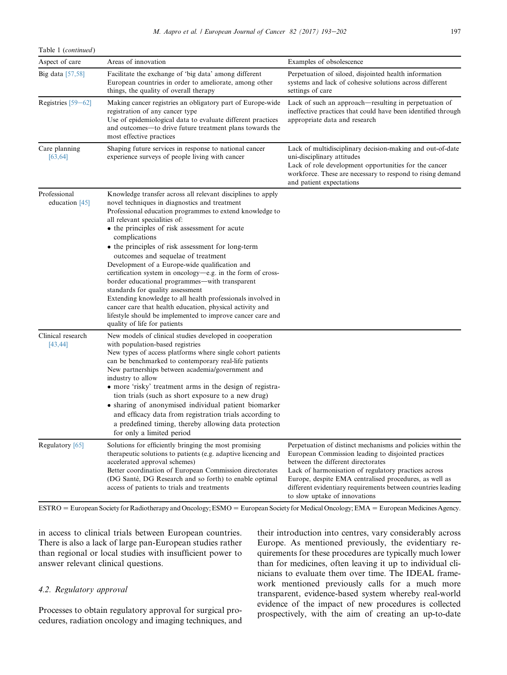| Table 1 (continued)            |                                                                                                                                                                                                                                                                                                                                                                                                                                                                                                                                                                                                                                                                                                                                                                                                        |                                                                                                                                                                                                                                                                                                                                                                             |  |
|--------------------------------|--------------------------------------------------------------------------------------------------------------------------------------------------------------------------------------------------------------------------------------------------------------------------------------------------------------------------------------------------------------------------------------------------------------------------------------------------------------------------------------------------------------------------------------------------------------------------------------------------------------------------------------------------------------------------------------------------------------------------------------------------------------------------------------------------------|-----------------------------------------------------------------------------------------------------------------------------------------------------------------------------------------------------------------------------------------------------------------------------------------------------------------------------------------------------------------------------|--|
| Aspect of care                 | Areas of innovation                                                                                                                                                                                                                                                                                                                                                                                                                                                                                                                                                                                                                                                                                                                                                                                    | Examples of obsolescence                                                                                                                                                                                                                                                                                                                                                    |  |
| Big data $[57,58]$             | Facilitate the exchange of 'big data' among different<br>European countries in order to ameliorate, among other<br>things, the quality of overall therapy                                                                                                                                                                                                                                                                                                                                                                                                                                                                                                                                                                                                                                              | Perpetuation of siloed, disjointed health information<br>systems and lack of cohesive solutions across different<br>settings of care                                                                                                                                                                                                                                        |  |
| Registries [59-62]             | Making cancer registries an obligatory part of Europe-wide<br>registration of any cancer type<br>Use of epidemiological data to evaluate different practices<br>and outcomes-to drive future treatment plans towards the<br>most effective practices                                                                                                                                                                                                                                                                                                                                                                                                                                                                                                                                                   | Lack of such an approach—resulting in perpetuation of<br>ineffective practices that could have been identified through<br>appropriate data and research                                                                                                                                                                                                                     |  |
| Care planning<br>[63, 64]      | Shaping future services in response to national cancer<br>experience surveys of people living with cancer                                                                                                                                                                                                                                                                                                                                                                                                                                                                                                                                                                                                                                                                                              | Lack of multidisciplinary decision-making and out-of-date<br>uni-disciplinary attitudes<br>Lack of role development opportunities for the cancer<br>workforce. These are necessary to respond to rising demand<br>and patient expectations                                                                                                                                  |  |
| Professional<br>education [45] | Knowledge transfer across all relevant disciplines to apply<br>novel techniques in diagnostics and treatment<br>Professional education programmes to extend knowledge to<br>all relevant specialities of:<br>• the principles of risk assessment for acute<br>complications<br>• the principles of risk assessment for long-term<br>outcomes and sequelae of treatment<br>Development of a Europe-wide qualification and<br>certification system in oncology-e.g. in the form of cross-<br>border educational programmes—with transparent<br>standards for quality assessment<br>Extending knowledge to all health professionals involved in<br>cancer care that health education, physical activity and<br>lifestyle should be implemented to improve cancer care and<br>quality of life for patients |                                                                                                                                                                                                                                                                                                                                                                             |  |
| Clinical research<br>[43, 44]  | New models of clinical studies developed in cooperation<br>with population-based registries<br>New types of access platforms where single cohort patients<br>can be benchmarked to contemporary real-life patients<br>New partnerships between academia/government and<br>industry to allow<br>• more 'risky' treatment arms in the design of registra-<br>tion trials (such as short exposure to a new drug)<br>• sharing of anonymised individual patient biomarker<br>and efficacy data from registration trials according to<br>a predefined timing, thereby allowing data protection<br>for only a limited period                                                                                                                                                                                 |                                                                                                                                                                                                                                                                                                                                                                             |  |
| Regulatory [65]                | Solutions for efficiently bringing the most promising<br>therapeutic solutions to patients (e.g. adaptive licencing and<br>accelerated approval schemes)<br>Better coordination of European Commission directorates<br>(DG Santé, DG Research and so forth) to enable optimal<br>access of patients to trials and treatments                                                                                                                                                                                                                                                                                                                                                                                                                                                                           | Perpetuation of distinct mechanisms and policies within the<br>European Commission leading to disjointed practices<br>between the different directorates<br>Lack of harmonisation of regulatory practices across<br>Europe, despite EMA centralised procedures, as well as<br>different evidentiary requirements between countries leading<br>to slow uptake of innovations |  |

ESTRO = European Society for Radiotherapy and Oncology; ESMO = European Society for Medical Oncology; EMA = European Medicines Agency.

in access to clinical trials between European countries. There is also a lack of large pan-European studies rather than regional or local studies with insufficient power to answer relevant clinical questions.

# 4.2. Regulatory approval

Processes to obtain regulatory approval for surgical procedures, radiation oncology and imaging techniques, and their introduction into centres, vary considerably across Europe. As mentioned previously, the evidentiary requirements for these procedures are typically much lower than for medicines, often leaving it up to individual clinicians to evaluate them over time. The IDEAL framework mentioned previously calls for a much more transparent, evidence-based system whereby real-world evidence of the impact of new procedures is collected prospectively, with the aim of creating an up-to-date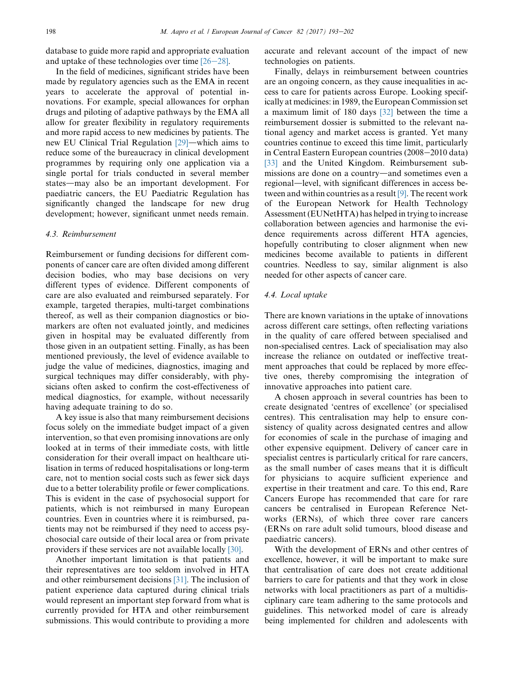database to guide more rapid and appropriate evaluation and uptake of these technologies over time  $[26-28]$  $[26-28]$  $[26-28]$ .

In the field of medicines, significant strides have been made by regulatory agencies such as the EMA in recent years to accelerate the approval of potential innovations. For example, special allowances for orphan drugs and piloting of adaptive pathways by the EMA all allow for greater flexibility in regulatory requirements and more rapid access to new medicines by patients. The new EU Clinical Trial Regulation  $[29]$ —which aims to reduce some of the bureaucracy in clinical development programmes by requiring only one application via a single portal for trials conducted in several member states—may also be an important development. For paediatric cancers, the EU Paediatric Regulation has significantly changed the landscape for new drug development; however, significant unmet needs remain.

### 4.3. Reimbursement

Reimbursement or funding decisions for different components of cancer care are often divided among different decision bodies, who may base decisions on very different types of evidence. Different components of care are also evaluated and reimbursed separately. For example, targeted therapies, multi-target combinations thereof, as well as their companion diagnostics or biomarkers are often not evaluated jointly, and medicines given in hospital may be evaluated differently from those given in an outpatient setting. Finally, as has been mentioned previously, the level of evidence available to judge the value of medicines, diagnostics, imaging and surgical techniques may differ considerably, with physicians often asked to confirm the cost-effectiveness of medical diagnostics, for example, without necessarily having adequate training to do so.

A key issue is also that many reimbursement decisions focus solely on the immediate budget impact of a given intervention, so that even promising innovations are only looked at in terms of their immediate costs, with little consideration for their overall impact on healthcare utilisation in terms of reduced hospitalisations or long-term care, not to mention social costs such as fewer sick days due to a better tolerability profile or fewer complications. This is evident in the case of psychosocial support for patients, which is not reimbursed in many European countries. Even in countries where it is reimbursed, patients may not be reimbursed if they need to access psychosocial care outside of their local area or from private providers if these services are not available locally [\[30\]](#page-8-0).

Another important limitation is that patients and their representatives are too seldom involved in HTA and other reimbursement decisions [\[31\]](#page-8-0). The inclusion of patient experience data captured during clinical trials would represent an important step forward from what is currently provided for HTA and other reimbursement submissions. This would contribute to providing a more accurate and relevant account of the impact of new technologies on patients.

Finally, delays in reimbursement between countries are an ongoing concern, as they cause inequalities in access to care for patients across Europe. Looking specifically at medicines: in 1989, the European Commission set a maximum limit of 180 days [\[32\]](#page-8-0) between the time a reimbursement dossier is submitted to the relevant national agency and market access is granted. Yet many countries continue to exceed this time limit, particularly in Central Eastern European countries  $(2008-2010 \text{ data})$ [\[33\]](#page-9-0) and the United Kingdom. Reimbursement submissions are done on a country—and sometimes even a regional—level, with significant differences in access between and within countries as a result [\[9\].](#page-8-0) The recent work of the European Network for Health Technology Assessment (EUNetHTA) has helped in trying to increase collaboration between agencies and harmonise the evidence requirements across different HTA agencies, hopefully contributing to closer alignment when new medicines become available to patients in different countries. Needless to say, similar alignment is also needed for other aspects of cancer care.

#### 4.4. Local uptake

There are known variations in the uptake of innovations across different care settings, often reflecting variations in the quality of care offered between specialised and non-specialised centres. Lack of specialisation may also increase the reliance on outdated or ineffective treatment approaches that could be replaced by more effective ones, thereby compromising the integration of innovative approaches into patient care.

A chosen approach in several countries has been to create designated 'centres of excellence' (or specialised centres). This centralisation may help to ensure consistency of quality across designated centres and allow for economies of scale in the purchase of imaging and other expensive equipment. Delivery of cancer care in specialist centres is particularly critical for rare cancers, as the small number of cases means that it is difficult for physicians to acquire sufficient experience and expertise in their treatment and care. To this end, Rare Cancers Europe has recommended that care for rare cancers be centralised in European Reference Networks (ERNs), of which three cover rare cancers (ERNs on rare adult solid tumours, blood disease and paediatric cancers).

With the development of ERNs and other centres of excellence, however, it will be important to make sure that centralisation of care does not create additional barriers to care for patients and that they work in close networks with local practitioners as part of a multidisciplinary care team adhering to the same protocols and guidelines. This networked model of care is already being implemented for children and adolescents with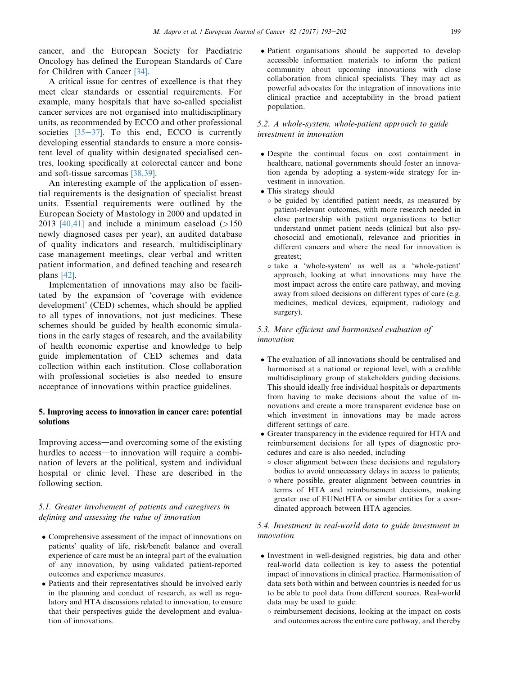cancer, and the European Society for Paediatric Oncology has defined the European Standards of Care for Children with Cancer [\[34\]](#page-9-0).

A critical issue for centres of excellence is that they meet clear standards or essential requirements. For example, many hospitals that have so-called specialist cancer services are not organised into multidisciplinary units, as recommended by ECCO and other professional societies  $[35-37]$  $[35-37]$  $[35-37]$ . To this end, ECCO is currently developing essential standards to ensure a more consistent level of quality within designated specialised centres, looking specifically at colorectal cancer and bone and soft-tissue sarcomas [\[38,39\].](#page-9-0)

An interesting example of the application of essential requirements is the designation of specialist breast units. Essential requirements were outlined by the European Society of Mastology in 2000 and updated in 2013  $[40,41]$  and include a minimum caseload ( $>150$ ) newly diagnosed cases per year), an audited database of quality indicators and research, multidisciplinary case management meetings, clear verbal and written patient information, and defined teaching and research plans [\[42\].](#page-9-0)

Implementation of innovations may also be facilitated by the expansion of 'coverage with evidence development' (CED) schemes, which should be applied to all types of innovations, not just medicines. These schemes should be guided by health economic simulations in the early stages of research, and the availability of health economic expertise and knowledge to help guide implementation of CED schemes and data collection within each institution. Close collaboration with professional societies is also needed to ensure acceptance of innovations within practice guidelines.

# 5. Improving access to innovation in cancer care: potential solutions

Improving access—and overcoming some of the existing hurdles to access—to innovation will require a combination of levers at the political, system and individual hospital or clinic level. These are described in the following section.

# 5.1. Greater involvement of patients and caregivers in defining and assessing the value of innovation

- Comprehensive assessment of the impact of innovations on patients' quality of life, risk/benefit balance and overall experience of care must be an integral part of the evaluation of any innovation, by using validated patient-reported outcomes and experience measures.
- Patients and their representatives should be involved early in the planning and conduct of research, as well as regulatory and HTA discussions related to innovation, to ensure that their perspectives guide the development and evaluation of innovations.

- Patient organisations should be supported to develop accessible information materials to inform the patient community about upcoming innovations with close collaboration from clinical specialists. They may act as powerful advocates for the integration of innovations into clinical practice and acceptability in the broad patient population.

# 5.2. A whole-system, whole-patient approach to guide investment in innovation

- Despite the continual focus on cost containment in healthcare, national governments should foster an innovation agenda by adopting a system-wide strategy for investment in innovation.
- This strategy should
- be guided by identified patient needs, as measured by patient-relevant outcomes, with more research needed in close partnership with patient organisations to better understand unmet patient needs (clinical but also psychosocial and emotional), relevance and priorities in different cancers and where the need for innovation is greatest;
- o take a 'whole-system' as well as a 'whole-patient' approach, looking at what innovations may have the most impact across the entire care pathway, and moving away from siloed decisions on different types of care (e.g. medicines, medical devices, equipment, radiology and surgery).

# 5.3. More efficient and harmonised evaluation of innovation

- The evaluation of all innovations should be centralised and harmonised at a national or regional level, with a credible multidisciplinary group of stakeholders guiding decisions. This should ideally free individual hospitals or departments from having to make decisions about the value of innovations and create a more transparent evidence base on which investment in innovations may be made across different settings of care.
- Greater transparency in the evidence required for HTA and reimbursement decisions for all types of diagnostic procedures and care is also needed, including
	- $\circ$  closer alignment between these decisions and regulatory bodies to avoid unnecessary delays in access to patients;
	- where possible, greater alignment between countries in terms of HTA and reimbursement decisions, making greater use of EUNetHTA or similar entities for a coordinated approach between HTA agencies.

# 5.4. Investment in real-world data to guide investment in innovation

- Investment in well-designed registries, big data and other real-world data collection is key to assess the potential impact of innovations in clinical practice. Harmonisation of data sets both within and between countries is needed for us to be able to pool data from different sources. Real-world data may be used to guide:
	- $\circ$  reimbursement decisions, looking at the impact on costs and outcomes across the entire care pathway, and thereby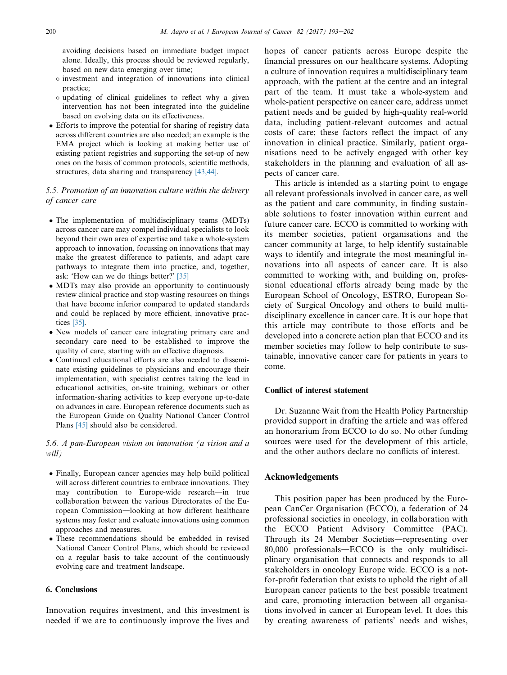avoiding decisions based on immediate budget impact alone. Ideally, this process should be reviewed regularly, based on new data emerging over time;

- investment and integration of innovations into clinical practice;
- updating of clinical guidelines to reflect why a given intervention has not been integrated into the guideline based on evolving data on its effectiveness.
- Efforts to improve the potential for sharing of registry data across different countries are also needed; an example is the EMA project which is looking at making better use of existing patient registries and supporting the set-up of new ones on the basis of common protocols, scientific methods, structures, data sharing and transparency [\[43,44\].](#page-9-0)

### 5.5. Promotion of an innovation culture within the delivery of cancer care

- The implementation of multidisciplinary teams (MDTs) across cancer care may compel individual specialists to look beyond their own area of expertise and take a whole-system approach to innovation, focussing on innovations that may make the greatest difference to patients, and adapt care pathways to integrate them into practice, and, together, ask: 'How can we do things better?' [\[35\]](#page-9-0)
- MDTs may also provide an opportunity to continuously review clinical practice and stop wasting resources on things that have become inferior compared to updated standards and could be replaced by more efficient, innovative practices [\[35\]](#page-9-0).
- New models of cancer care integrating primary care and secondary care need to be established to improve the quality of care, starting with an effective diagnosis.
- Continued educational efforts are also needed to disseminate existing guidelines to physicians and encourage their implementation, with specialist centres taking the lead in educational activities, on-site training, webinars or other information-sharing activities to keep everyone up-to-date on advances in care. European reference documents such as the European Guide on Quality National Cancer Control Plans [\[45\]](#page-9-0) should also be considered.

# 5.6. A pan-European vision on innovation (a vision and a will)

- Finally, European cancer agencies may help build political will across different countries to embrace innovations. They may contribution to Europe-wide research-in true collaboration between the various Directorates of the European Commission-looking at how different healthcare systems may foster and evaluate innovations using common approaches and measures.
- These recommendations should be embedded in revised National Cancer Control Plans, which should be reviewed on a regular basis to take account of the continuously evolving care and treatment landscape.

### 6. Conclusions

Innovation requires investment, and this investment is needed if we are to continuously improve the lives and

hopes of cancer patients across Europe despite the financial pressures on our healthcare systems. Adopting a culture of innovation requires a multidisciplinary team approach, with the patient at the centre and an integral part of the team. It must take a whole-system and whole-patient perspective on cancer care, address unmet patient needs and be guided by high-quality real-world data, including patient-relevant outcomes and actual costs of care; these factors reflect the impact of any innovation in clinical practice. Similarly, patient organisations need to be actively engaged with other key stakeholders in the planning and evaluation of all aspects of cancer care.

This article is intended as a starting point to engage all relevant professionals involved in cancer care, as well as the patient and care community, in finding sustainable solutions to foster innovation within current and future cancer care. ECCO is committed to working with its member societies, patient organisations and the cancer community at large, to help identify sustainable ways to identify and integrate the most meaningful innovations into all aspects of cancer care. It is also committed to working with, and building on, professional educational efforts already being made by the European School of Oncology, ESTRO, European Society of Surgical Oncology and others to build multidisciplinary excellence in cancer care. It is our hope that this article may contribute to those efforts and be developed into a concrete action plan that ECCO and its member societies may follow to help contribute to sustainable, innovative cancer care for patients in years to come.

# Conflict of interest statement

Dr. Suzanne Wait from the Health Policy Partnership provided support in drafting the article and was offered an honorarium from ECCO to do so. No other funding sources were used for the development of this article, and the other authors declare no conflicts of interest.

### Acknowledgements

This position paper has been produced by the European CanCer Organisation (ECCO), a federation of 24 professional societies in oncology, in collaboration with the ECCO Patient Advisory Committee (PAC). Through its 24 Member Societies—representing over  $80,000$  professionals $-ECCO$  is the only multidisciplinary organisation that connects and responds to all stakeholders in oncology Europe wide. ECCO is a notfor-profit federation that exists to uphold the right of all European cancer patients to the best possible treatment and care, promoting interaction between all organisations involved in cancer at European level. It does this by creating awareness of patients' needs and wishes,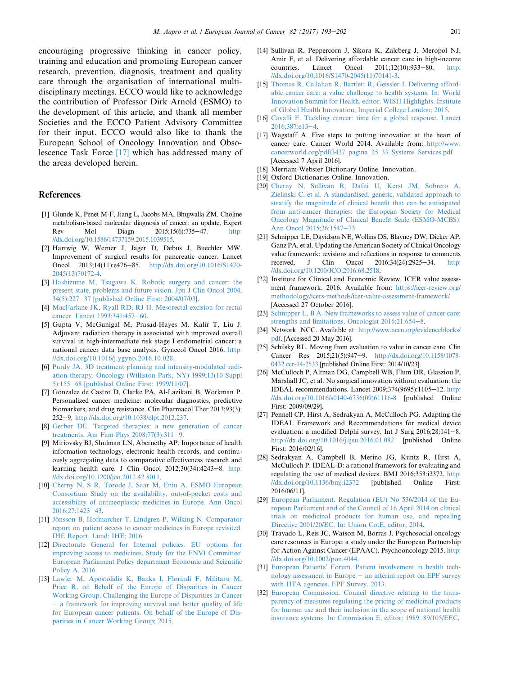<span id="page-8-0"></span>encouraging progressive thinking in cancer policy, training and education and promoting European cancer research, prevention, diagnosis, treatment and quality care through the organisation of international multidisciplinary meetings. ECCO would like to acknowledge the contribution of Professor Dirk Arnold (ESMO) to the development of this article, and thank all member Societies and the ECCO Patient Advisory Committee for their input. ECCO would also like to thank the European School of Oncology Innovation and Obsolescence Task Force [17] which has addressed many of the areas developed herein.

### References

- [1] Glunde K, Penet M-F, Jiang L, Jacobs MA, Bhujwalla ZM. Choline metabolism-based molecular diagnosis of cancer: an update. Expert Rev Mol Diagn 2015;15(6):735–47. [http:](http://dx.doi.org/10.1586/14737159.2015.1039515) [//dx.doi.org/10.1586/14737159.2015.1039515.](http://dx.doi.org/10.1586/14737159.2015.1039515)
- [2] Hartwig W, Werner J, Jäger D, Debus J, Buechler MW. Improvement of surgical results for pancreatic cancer. Lancet Oncol 2013;14(11):e476-85. [http://dx.doi.org/10.1016/S1470-](http://dx.doi.org/10.1016/S1470-2045(13)70172-4) [2045\(13\)70172-4](http://dx.doi.org/10.1016/S1470-2045(13)70172-4).
- [3] [Hashizume M, Tsugawa K. Robotic surgery and cancer: the](http://refhub.elsevier.com/S0959-8049(17)30891-2/sref3) [present state, problems and future vision. Jpn J Clin Oncol 2004;](http://refhub.elsevier.com/S0959-8049(17)30891-2/sref3) [34\(5\):227](http://refhub.elsevier.com/S0959-8049(17)30891-2/sref3)-[37 \[published Online First: 2004/07/03\].](http://refhub.elsevier.com/S0959-8049(17)30891-2/sref3)
- [4] [MacFarlane JK, Ryall RD, RJ H. Mesorectal excision for rectal](http://refhub.elsevier.com/S0959-8049(17)30891-2/sref4) [cancer. Lancet 1993;341:457](http://refhub.elsevier.com/S0959-8049(17)30891-2/sref4)-[60](http://refhub.elsevier.com/S0959-8049(17)30891-2/sref4).
- [5] Gupta V, McGunigal M, Prasad-Hayes M, Kalir T, Liu J. Adjuvant radiation therapy is associated with improved overall survival in high-intermediate risk stage I endometrial cancer: a national cancer data base analysis. Gynecol Oncol 2016. [http:](http://dx.doi.org/10.1016/j.ygyno.2016.10.028) [//dx.doi.org/10.1016/j.ygyno.2016.10.028.](http://dx.doi.org/10.1016/j.ygyno.2016.10.028)
- [6] [Purdy JA. 3D treatment planning and intensity-modulated radi](http://refhub.elsevier.com/S0959-8049(17)30891-2/sref6)[ation therapy. Oncology \(Williston Park, NY\) 1999;13\(10 Suppl](http://refhub.elsevier.com/S0959-8049(17)30891-2/sref6) [5\):155](http://refhub.elsevier.com/S0959-8049(17)30891-2/sref6)e[68 \[published Online First: 1999/11/07\]](http://refhub.elsevier.com/S0959-8049(17)30891-2/sref6).
- [7] Gonzalez de Castro D, Clarke PA, Al-Lazikani B, Workman P. Personalized cancer medicine: molecular diagnostics, predictive biomarkers, and drug resistance. Clin Pharmacol Ther 2013;93(3): 252e9. <http://dx.doi.org/10.1038/clpt.2012.237>.
- [8] [Gerber DE. Targeted therapies: a new generation of cancer](http://refhub.elsevier.com/S0959-8049(17)30891-2/sref8) treatments. Am Fam Phys  $2008;77(3):311-9$  $2008;77(3):311-9$ .
- [9] Miriovsky BJ, Shulman LN, Abernethy AP. Importance of health information technology, electronic health records, and continuously aggregating data to comparative effectiveness research and learning health care. J Clin Oncol  $2012;30(34):4243-8$ . [http:](http://dx.doi.org/10.1200/jco.2012.42.8011) [//dx.doi.org/10.1200/jco.2012.42.8011.](http://dx.doi.org/10.1200/jco.2012.42.8011)
- [10] [Cherny N, S R, Torode J, Saar M, Eniu A. ESMO European](http://refhub.elsevier.com/S0959-8049(17)30891-2/sref10) [Consortium Study on the availability, out-of-pocket costs and](http://refhub.elsevier.com/S0959-8049(17)30891-2/sref10) [accessibility of antineoplastic medicines in Europe. Ann Oncol](http://refhub.elsevier.com/S0959-8049(17)30891-2/sref10) [2016;27:1423](http://refhub.elsevier.com/S0959-8049(17)30891-2/sref10)-[43.](http://refhub.elsevier.com/S0959-8049(17)30891-2/sref10)
- [11] Jönsson B, Hofmarcher T, Lindgren P, Wilking N. Comparator [report on patient access to cancer medicines in Europe revisited.](http://refhub.elsevier.com/S0959-8049(17)30891-2/sref11) [IHE Report. Lund: IHE; 2016.](http://refhub.elsevier.com/S0959-8049(17)30891-2/sref11)
- [12] [Directorate General for Internal policies. EU options for](http://refhub.elsevier.com/S0959-8049(17)30891-2/sref12) [improving access to medicines. Study for the ENVI Committee:](http://refhub.elsevier.com/S0959-8049(17)30891-2/sref12) [European Parliament Policy department Economic and Scientific](http://refhub.elsevier.com/S0959-8049(17)30891-2/sref12) [Policy A. 2016](http://refhub.elsevier.com/S0959-8049(17)30891-2/sref12).
- [13] [Lawler M, Apostolidis K, Banks I, Florindi F, Militaru M,](http://refhub.elsevier.com/S0959-8049(17)30891-2/sref13) [Price R, on Behalf of the Europe of Disparities in Cancer](http://refhub.elsevier.com/S0959-8049(17)30891-2/sref13) [Working Group. Challenging the Europe of Disparities in Cancer](http://refhub.elsevier.com/S0959-8049(17)30891-2/sref13)  $-$  [a framework for improving survival and better quality of life](http://refhub.elsevier.com/S0959-8049(17)30891-2/sref13) [for European cancer patients. On behalf of the Europe of Dis](http://refhub.elsevier.com/S0959-8049(17)30891-2/sref13)[parities in Cancer Working Group; 2015](http://refhub.elsevier.com/S0959-8049(17)30891-2/sref13).
- [14] Sullivan R, Peppercorn J, Sikora K, Zalcberg J, Meropol NJ, Amir E, et al. Delivering affordable cancer care in high-income countries. Lancet Oncol  $2011;12(10):933-80$ . [//dx.doi.org/10.1016/S1470-2045\(11\)70141-3](http://dx.doi.org/10.1016/S1470-2045(11)70141-3).
- [15] [Thomas R, Callahan R, Bartlett R, Geissler J. Delivering afford](http://refhub.elsevier.com/S0959-8049(17)30891-2/sref15)[able cancer care: a value challenge to health systems. In: World](http://refhub.elsevier.com/S0959-8049(17)30891-2/sref15) [Innovation Summit for Health, editor. WISH Highlights. Institute](http://refhub.elsevier.com/S0959-8049(17)30891-2/sref15) [of Global Health Innovation, Imperial College London; 2015](http://refhub.elsevier.com/S0959-8049(17)30891-2/sref15).
- [16] [Cavalli F. Tackling cancer: time for a global response. Lancet](http://refhub.elsevier.com/S0959-8049(17)30891-2/sref16)  $2016:387:e13-4$  $2016:387:e13-4$
- [17] Wagstaff A. Five steps to putting innovation at the heart of cancer care. Cancer World 2014. Available from: [http://www.](http://www.cancerworld.org/pdf/3437_pagina_25_33_Systems_Services.pdf) [cancerworld.org/pdf/3437\\_pagina\\_25\\_33\\_Systems\\_Services.pdf](http://www.cancerworld.org/pdf/3437_pagina_25_33_Systems_Services.pdf) [Accessed 7 April 2016].
- [18] Merriam-Webster Dictionary Online. Innovation.
- [19] Oxford Dictionaries Online. Innovation.
- [20] [Cherny N, Sullivan R, Dafni U, Kerst JM, Sobrero A,](http://refhub.elsevier.com/S0959-8049(17)30891-2/sref20) [Zielinski C, et al. A standardised, generic, validated approach to](http://refhub.elsevier.com/S0959-8049(17)30891-2/sref20) [stratify the magnitude of clinical benefit that can be anticipated](http://refhub.elsevier.com/S0959-8049(17)30891-2/sref20) [from anti-cancer therapies: the European Society for Medical](http://refhub.elsevier.com/S0959-8049(17)30891-2/sref20) [Oncology Magnitude of Clinical Benefit Scale \(ESMO-MCBS\).](http://refhub.elsevier.com/S0959-8049(17)30891-2/sref20) [Ann Oncol 2015;26:1547](http://refhub.elsevier.com/S0959-8049(17)30891-2/sref20)-[73](http://refhub.elsevier.com/S0959-8049(17)30891-2/sref20).
- [21] Schnipper LE, Davidson NE, Wollins DS, Blayney DW, Dicker AP, Ganz PA, et al. Updating the American Society of Clinical Oncology value framework: revisions and reflections in response to comments received. J Clin Oncol 2016;34(24):2925-34. [http:](http://dx.doi.org/10.1200/JCO.2016.68.2518) [//dx.doi.org/10.1200/JCO.2016.68.2518.](http://dx.doi.org/10.1200/JCO.2016.68.2518)
- [22] Institute for Clinical and Economic Review. ICER value assessment framework. 2016. Available from: [https://icer-review.org/](https://icer-review.org/methodology/icers-methods/icer-value-assessment-framework/) [methodology/icers-methods/icer-value-assessment-framework/](https://icer-review.org/methodology/icers-methods/icer-value-assessment-framework/) [Accessed 27 October 2016].
- [23] [Schnipper L, B A. New frameworks to assess value of cancer care:](http://refhub.elsevier.com/S0959-8049(17)30891-2/sref23) [strengths and limitations. Oncologist 2016;21:654](http://refhub.elsevier.com/S0959-8049(17)30891-2/sref23)-[8.](http://refhub.elsevier.com/S0959-8049(17)30891-2/sref23)
- [24] Network. NCC. Available at: [http://www.nccn.org/evidenceblocks/](http://www.nccn.org/evidenceblocks/pdf) [pdf.](http://www.nccn.org/evidenceblocks/pdf) [Accessed 20 May 2016].
- [25] Schilsky RL. Moving from evaluation to value in cancer care. Clin Cancer Res 2015;21(5):947-9. [http://dx.doi.org/10.1158/1078-](http://dx.doi.org/10.1158/1078-0432.ccr-14-2533) [0432.ccr-14-2533](http://dx.doi.org/10.1158/1078-0432.ccr-14-2533) [published Online First: 2014/10/23].
- [26] McCulloch P, Altman DG, Campbell WB, Flum DR, Glasziou P, Marshall JC, et al. No surgical innovation without evaluation: the IDEAL recommendations. Lancet  $2009:374(9695):1105-12$ . [http:](http://dx.doi.org/10.1016/s0140-6736(09)61116-8) [//dx.doi.org/10.1016/s0140-6736\(09\)61116-8](http://dx.doi.org/10.1016/s0140-6736(09)61116-8) [published Online First: 2009/09/29].
- [27] Pennell CP, Hirst A, Sedrakyan A, McCulloch PG. Adapting the IDEAL Framework and Recommendations for medical device evaluation: a modified Delphi survey. Int J Surg 2016;28:141-8. <http://dx.doi.org/10.1016/j.ijsu.2016.01.082> [published Online First: 2016/02/16].
- [28] Sedrakyan A, Campbell B, Merino JG, Kuntz R, Hirst A, McCulloch P. IDEAL-D: a rational framework for evaluating and regulating the use of medical devices. BMJ 2016;353:i2372. [http:](http://dx.doi.org/10.1136/bmj.i2372) [//dx.doi.org/10.1136/bmj.i2372](http://dx.doi.org/10.1136/bmj.i2372) [published Online First: 2016/06/11].
- [29] [European Parliament. Regulation \(EU\) No 536/2014 of the Eu](http://refhub.elsevier.com/S0959-8049(17)30891-2/sref29)[ropean Parliament and of the Council of 16 April 2014 on clinical](http://refhub.elsevier.com/S0959-8049(17)30891-2/sref29) [trials on medicinal products for human use, and repealing](http://refhub.elsevier.com/S0959-8049(17)30891-2/sref29) [Directive 2001/20/EC. In: Union CotE, editor; 2014.](http://refhub.elsevier.com/S0959-8049(17)30891-2/sref29)
- [30] Travado L, Reis JC, Watson M, Borras J. Psychosocial oncology care resources in Europe: a study under the European Partnership for Action Against Cancer (EPAAC). Psychooncology 2015. [http:](http://dx.doi.org/10.1002/pon.4044) [//dx.doi.org/10.1002/pon.4044.](http://dx.doi.org/10.1002/pon.4044)
- [31] [European Patients' Forum. Patient involvement in health tech](http://refhub.elsevier.com/S0959-8049(17)30891-2/sref31)[nology assessment in Europe](http://refhub.elsevier.com/S0959-8049(17)30891-2/sref31)  $-$  [an interim report on EPF survey](http://refhub.elsevier.com/S0959-8049(17)30891-2/sref31) [with HTA agencies. EPF Survey. 2013.](http://refhub.elsevier.com/S0959-8049(17)30891-2/sref31)
- [32] [European Commission. Council directive relating to the trans](http://refhub.elsevier.com/S0959-8049(17)30891-2/sref32)[parency of measures regulating the pricing of medicinal products](http://refhub.elsevier.com/S0959-8049(17)30891-2/sref32) [for human use and their inclusion in the scope of national health](http://refhub.elsevier.com/S0959-8049(17)30891-2/sref32) [insurance systems. In: Commission E, editor; 1989. 89/105/EEC.](http://refhub.elsevier.com/S0959-8049(17)30891-2/sref32)